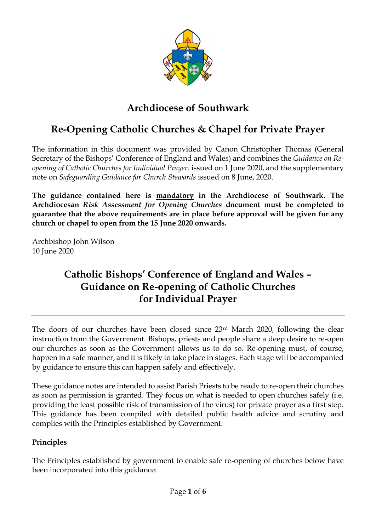

## **Archdiocese of Southwark**

# **Re-Opening Catholic Churches & Chapel for Private Prayer**

The information in this document was provided by Canon Christopher Thomas (General Secretary of the Bishops' Conference of England and Wales) and combines the *Guidance on Reopening of Catholic Churches for Individual Prayer,* issued on 1 June 2020, and the supplementary note on *Safeguarding Guidance for Church Stewards* issued on 8 June, 2020.

**The guidance contained here is mandatory in the Archdiocese of Southwark. The Archdiocesan** *Risk Assessment for Opening Churches* **document must be completed to guarantee that the above requirements are in place before approval will be given for any church or chapel to open from the 15 June 2020 onwards.** 

Archbishop John Wilson 10 June 2020

## **Catholic Bishops' Conference of England and Wales – Guidance on Re-opening of Catholic Churches for Individual Prayer**

The doors of our churches have been closed since 23rd March 2020, following the clear instruction from the Government. Bishops, priests and people share a deep desire to re-open our churches as soon as the Government allows us to do so. Re-opening must, of course, happen in a safe manner, and it is likely to take place in stages. Each stage will be accompanied by guidance to ensure this can happen safely and effectively.

These guidance notes are intended to assist Parish Priests to be ready to re-open their churches as soon as permission is granted. They focus on what is needed to open churches safely (i.e. providing the least possible risk of transmission of the virus) for private prayer as a first step. This guidance has been compiled with detailed public health advice and scrutiny and complies with the Principles established by Government.

## **Principles**

The Principles established by government to enable safe re-opening of churches below have been incorporated into this guidance: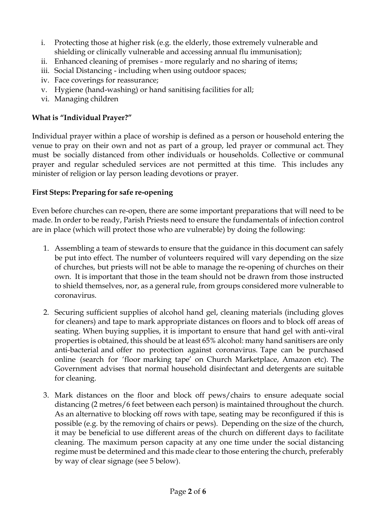- i. Protecting those at higher risk (e.g. the elderly, those extremely vulnerable and shielding or clinically vulnerable and accessing annual flu immunisation);
- ii. Enhanced cleaning of premises more regularly and no sharing of items;
- iii. Social Distancing including when using outdoor spaces;
- iv. Face coverings for reassurance;
- v. Hygiene (hand-washing) or hand sanitising facilities for all;
- vi. Managing children

## **What is "Individual Prayer?"**

Individual prayer within a place of worship is defined as a person or household entering the venue to pray on their own and not as part of a group, led prayer or communal act. They must be socially distanced from other individuals or households. Collective or communal prayer and regular scheduled services are not permitted at this time. This includes any minister of religion or lay person leading devotions or prayer.

## **First Steps: Preparing for safe re-opening**

Even before churches can re-open, there are some important preparations that will need to be made. In order to be ready, Parish Priests need to ensure the fundamentals of infection control are in place (which will protect those who are vulnerable) by doing the following:

- 1. Assembling a team of stewards to ensure that the guidance in this document can safely be put into effect. The number of volunteers required will vary depending on the size of churches, but priests will not be able to manage the re-opening of churches on their own. It is important that those in the team should not be drawn from those instructed to shield themselves, nor, as a general rule, from groups considered more vulnerable to coronavirus.
- 2. Securing sufficient supplies of alcohol hand gel, cleaning materials (including gloves for cleaners) and tape to mark appropriate distances on floors and to block off areas of seating. When buying supplies, it is important to ensure that hand gel with anti-viral properties is obtained, this should be at least 65% alcohol: many hand sanitisers are only anti-bacterial and offer no protection against coronavirus. Tape can be purchased online (search for 'floor marking tape' on Church Marketplace, Amazon etc). The Government advises that normal household disinfectant and detergents are suitable for cleaning.
- 3. Mark distances on the floor and block off pews/chairs to ensure adequate social distancing (2 metres/6 feet between each person) is maintained throughout the church. As an alternative to blocking off rows with tape, seating may be reconfigured if this is possible (e.g. by the removing of chairs or pews). Depending on the size of the church, it may be beneficial to use different areas of the church on different days to facilitate cleaning. The maximum person capacity at any one time under the social distancing regime must be determined and this made clear to those entering the church, preferably by way of clear signage (see 5 below).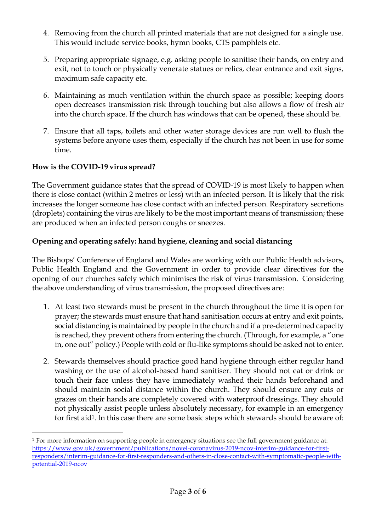- 4. Removing from the church all printed materials that are not designed for a single use. This would include service books, hymn books, CTS pamphlets etc.
- 5. Preparing appropriate signage, e.g. asking people to sanitise their hands, on entry and exit, not to touch or physically venerate statues or relics, clear entrance and exit signs, maximum safe capacity etc.
- 6. Maintaining as much ventilation within the church space as possible; keeping doors open decreases transmission risk through touching but also allows a flow of fresh air into the church space. If the church has windows that can be opened, these should be.
- 7. Ensure that all taps, toilets and other water storage devices are run well to flush the systems before anyone uses them, especially if the church has not been in use for some time.

## **How is the COVID-19 virus spread?**

The Government guidance states that the spread of COVID-19 is most likely to happen when there is close contact (within 2 metres or less) with an infected person. It is likely that the risk increases the longer someone has close contact with an infected person. Respiratory secretions (droplets) containing the virus are likely to be the most important means of transmission; these are produced when an infected person coughs or sneezes.

## **Opening and operating safely: hand hygiene, cleaning and social distancing**

The Bishops' Conference of England and Wales are working with our Public Health advisors, Public Health England and the Government in order to provide clear directives for the opening of our churches safely which minimises the risk of virus transmission. Considering the above understanding of virus transmission, the proposed directives are:

- 1. At least two stewards must be present in the church throughout the time it is open for prayer; the stewards must ensure that hand sanitisation occurs at entry and exit points, social distancing is maintained by people in the church and if a pre-determined capacity is reached, they prevent others from entering the church. (Through, for example, a "one in, one out" policy.) People with cold or flu-like symptoms should be asked not to enter.
- 2. Stewards themselves should practice good hand hygiene through either regular hand washing or the use of alcohol-based hand sanitiser. They should not eat or drink or touch their face unless they have immediately washed their hands beforehand and should maintain social distance within the church. They should ensure any cuts or grazes on their hands are completely covered with waterproof dressings. They should not physically assist people unless absolutely necessary, for example in an emergency for first aid<sup>1</sup>. In this case there are some basic steps which stewards should be aware of:

<sup>-</sup><sup>1</sup> For more information on supporting people in emergency situations see the full government guidance at: [https://www.gov.uk/government/publications/novel-coronavirus-2019-ncov-interim-guidance-for-first](https://www.gov.uk/government/publications/novel-coronavirus-2019-ncov-interim-guidance-for-first-%20responders/interim-guidance-for-first-responders-and-others-in-close-contact-with-symptomatic-people-with-potential-2019-ncov)[responders/interim-guidance-for-first-responders-and-others-in-close-contact-with-symptomatic-people-with](https://www.gov.uk/government/publications/novel-coronavirus-2019-ncov-interim-guidance-for-first-%20responders/interim-guidance-for-first-responders-and-others-in-close-contact-with-symptomatic-people-with-potential-2019-ncov)[potential-2019-ncov](https://www.gov.uk/government/publications/novel-coronavirus-2019-ncov-interim-guidance-for-first-%20responders/interim-guidance-for-first-responders-and-others-in-close-contact-with-symptomatic-people-with-potential-2019-ncov)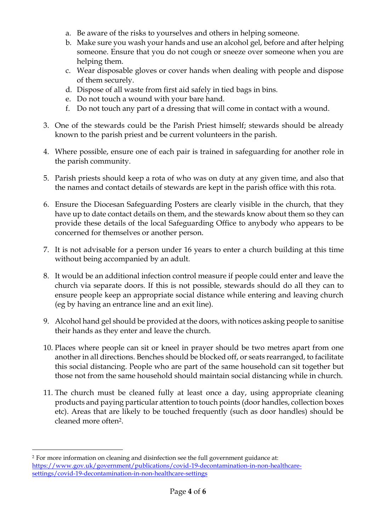- a. Be aware of the risks to yourselves and others in helping someone.
- b. Make sure you wash your hands and use an alcohol gel, before and after helping someone. Ensure that you do not cough or sneeze over someone when you are helping them.
- c. Wear disposable gloves or cover hands when dealing with people and dispose of them securely.
- d. Dispose of all waste from first aid safely in tied bags in bins.
- e. Do not touch a wound with your bare hand.
- f. Do not touch any part of a dressing that will come in contact with a wound.
- 3. One of the stewards could be the Parish Priest himself; stewards should be already known to the parish priest and be current volunteers in the parish.
- 4. Where possible, ensure one of each pair is trained in safeguarding for another role in the parish community.
- 5. Parish priests should keep a rota of who was on duty at any given time, and also that the names and contact details of stewards are kept in the parish office with this rota.
- 6. Ensure the Diocesan Safeguarding Posters are clearly visible in the church, that they have up to date contact details on them, and the stewards know about them so they can provide these details of the local Safeguarding Office to anybody who appears to be concerned for themselves or another person.
- 7. It is not advisable for a person under 16 years to enter a church building at this time without being accompanied by an adult.
- 8. It would be an additional infection control measure if people could enter and leave the church via separate doors. If this is not possible, stewards should do all they can to ensure people keep an appropriate social distance while entering and leaving church (eg by having an entrance line and an exit line).
- 9. Alcohol hand gel should be provided at the doors, with notices asking people to sanitise their hands as they enter and leave the church.
- 10. Places where people can sit or kneel in prayer should be two metres apart from one another in all directions. Benches should be blocked off, or seats rearranged, to facilitate this social distancing. People who are part of the same household can sit together but those not from the same household should maintain social distancing while in church.
- 11. The church must be cleaned fully at least once a day, using appropriate cleaning products and paying particular attention to touch points (door handles, collection boxes etc). Areas that are likely to be touched frequently (such as door handles) should be cleaned more often2.

-

<sup>2</sup> For more information on cleaning and disinfection see the full government guidance at: [https://www.gov.uk/government/publications/covid-19-decontamination-in-non-healthcare](https://www.gov.uk/government/publications/covid-19-decontamination-in-non-healthcare-settings/covid-19-decontamination-in-non-healthcare-settings)[settings/covid-19-decontamination-in-non-healthcare-settings](https://www.gov.uk/government/publications/covid-19-decontamination-in-non-healthcare-settings/covid-19-decontamination-in-non-healthcare-settings)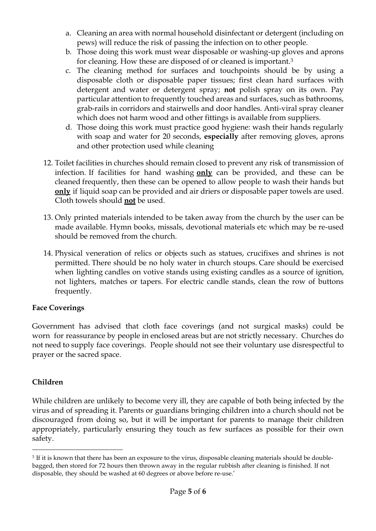- a. Cleaning an area with normal household disinfectant or detergent (including on pews) will reduce the risk of passing the infection on to other people.
- b. Those doing this work must wear disposable or washing-up gloves and aprons for cleaning. How these are disposed of or cleaned is important.<sup>3</sup>
- c. The cleaning method for surfaces and touchpoints should be by using a disposable cloth or disposable paper tissues; first clean hard surfaces with detergent and water or detergent spray; **not** polish spray on its own. Pay particular attention to frequently touched areas and surfaces, such as bathrooms, grab-rails in corridors and stairwells and door handles. Anti-viral spray cleaner which does not harm wood and other fittings is available from suppliers.
- d. Those doing this work must practice good hygiene: wash their hands regularly with soap and water for 20 seconds, **especially** after removing gloves, aprons and other protection used while cleaning
- 12. Toilet facilities in churches should remain closed to prevent any risk of transmission of infection. If facilities for hand washing **only** can be provided, and these can be cleaned frequently, then these can be opened to allow people to wash their hands but **only** if liquid soap can be provided and air driers or disposable paper towels are used. Cloth towels should **not** be used.
- 13. Only printed materials intended to be taken away from the church by the user can be made available. Hymn books, missals, devotional materials etc which may be re-used should be removed from the church.
- 14. Physical veneration of relics or objects such as statues, crucifixes and shrines is not permitted. There should be no holy water in church stoups. Care should be exercised when lighting candles on votive stands using existing candles as a source of ignition, not lighters, matches or tapers. For electric candle stands, clean the row of buttons frequently.

## **Face Coverings**

Government has advised that cloth face coverings (and not surgical masks) could be worn for reassurance by people in enclosed areas but are not strictly necessary. Churches do not need to supply face coverings. People should not see their voluntary use disrespectful to prayer or the sacred space.

## **Children**

While children are unlikely to become very ill, they are capable of both being infected by the virus and of spreading it. Parents or guardians bringing children into a church should not be discouraged from doing so, but it will be important for parents to manage their children appropriately, particularly ensuring they touch as few surfaces as possible for their own safety.

<sup>-</sup> $^3$  If it is known that there has been an exposure to the virus, disposable cleaning materials should be doublebagged, then stored for 72 hours then thrown away in the regular rubbish after cleaning is finished. If not disposable, they should be washed at 60 degrees or above before re-use.'